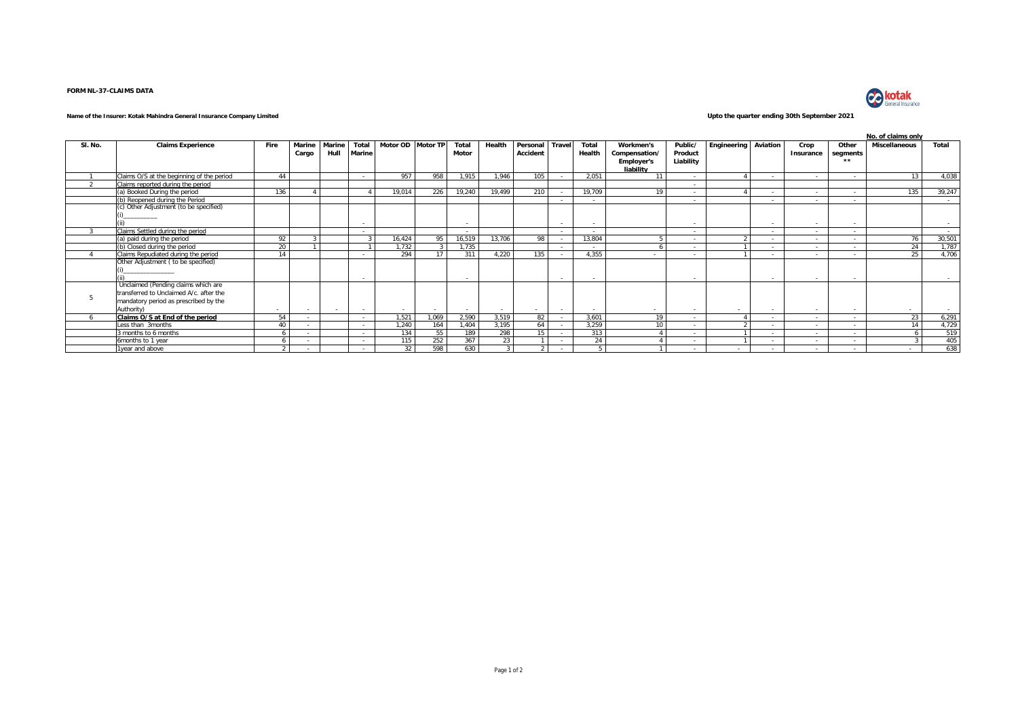## **FORM NL-37-CLAIMS DATA**



## **Name of the Insurer: Kotak Mahindra General Insurance Company Limited Upto the quarter ending 30th September 2021**

|         |                                           |                |        |        |               |                   |        |                          |        |          |                          |        |                   |                          |             |          | No. of claims only |                          |                      |                |
|---------|-------------------------------------------|----------------|--------|--------|---------------|-------------------|--------|--------------------------|--------|----------|--------------------------|--------|-------------------|--------------------------|-------------|----------|--------------------|--------------------------|----------------------|----------------|
| SI. No. | <b>Claims Experience</b>                  | Fire           | Marine | Marine | Total         | Motor OD Motor TP |        | Total                    | Health | Personal | Travel                   | Total  | Workmen's         | Public/                  | Engineering | Aviation | Crop               | Other                    | <b>Miscellaneous</b> | Total          |
|         |                                           |                | Cargo  | Hull   | <b>Marine</b> |                   |        | Motor                    |        | Accident |                          | Health | Compensation/     | Product                  |             |          | Insurance          | segments                 |                      |                |
|         |                                           |                |        |        |               |                   |        |                          |        |          |                          |        | <b>Employer's</b> | Liability                |             |          |                    | $\bullet\bullet$         |                      |                |
|         |                                           |                |        |        |               |                   |        |                          |        |          |                          |        | liability         |                          |             |          |                    |                          |                      |                |
|         | Claims O/S at the beginning of the period | 44             |        |        |               | 957               | 958    | 1,915                    | 1,946  | 105      |                          | 2,051  | 11                | $\sim$                   |             |          | $\sim$             | $\sim$                   | 13                   | 4,038          |
|         | Claims reported during the period         |                |        |        |               |                   |        |                          |        |          |                          |        |                   | $\sim$                   |             |          |                    |                          |                      |                |
|         | (a) Booked During the period              | 136            |        |        |               | 19.014            | 226    | 19,240                   | 19,499 | 210      |                          | 19,709 | 19                | $\sim$                   |             |          |                    | $\sim$                   | 135                  | 39,247         |
|         | (b) Reopened during the Period            |                |        |        |               |                   |        |                          |        |          | $\sim$                   | $\sim$ |                   | $\sim$                   |             |          | $\sim$             | $\sim$                   |                      | $\sim$         |
|         | (c) Other Adjustment (to be specified)    |                |        |        |               |                   |        |                          |        |          |                          |        |                   |                          |             |          |                    |                          |                      |                |
|         | /__________                               |                |        |        |               |                   |        |                          |        |          |                          |        |                   |                          |             |          |                    |                          |                      |                |
|         |                                           |                |        |        |               |                   |        | <b>.</b>                 |        |          | $\overline{\phantom{a}}$ |        |                   | $\overline{\phantom{a}}$ |             |          |                    | $\overline{\phantom{a}}$ |                      | $\sim$         |
|         | Claims Settled during the period          |                |        |        |               |                   |        | $\overline{\phantom{a}}$ |        |          | $\sim$                   | $\sim$ |                   | $\sim$                   |             | $\sim$   | $\sim$             | $\sim$                   |                      | <b>Service</b> |
|         | (a) paid during the period                | 92             |        |        |               | 16,424            | 95     | 16,519                   | 13,706 | 98       | $\sim$                   | 13,804 |                   | $\sim$                   |             | $\sim$   | $\sim$             | $\sim$                   | 76                   | 30,501         |
|         | (b) Closed during the period              | 20             |        |        |               | 1.732             |        | 1.735                    |        |          | $\sim$                   | $\sim$ |                   | $\sim$                   |             |          | $\sim$             | $\sim$                   | 24                   | 1,787          |
|         | Claims Repudiated during the period       | 14             |        |        |               | 294               | 17     | 311                      | 4.220  | 135      |                          | 4.355  |                   | $\sim$                   |             |          |                    | $\sim$                   | 25                   | 4,706          |
|         | Other Adjustment ( to be specified)       |                |        |        |               |                   |        |                          |        |          |                          |        |                   |                          |             |          |                    |                          |                      |                |
|         |                                           |                |        |        |               |                   |        |                          |        |          |                          |        |                   |                          |             |          |                    |                          |                      |                |
|         |                                           |                |        |        |               |                   |        | $\sim$                   |        |          | $\sim$                   |        |                   | $\sim$                   |             |          |                    |                          |                      |                |
|         | Unclaimed (Pending claims which are       |                |        |        |               |                   |        |                          |        |          |                          |        |                   |                          |             |          |                    |                          |                      |                |
|         | transferred to Unclaimed A/c. after the   |                |        |        |               |                   |        |                          |        |          |                          |        |                   |                          |             |          |                    |                          |                      |                |
|         | mandatory period as prescribed by the     |                |        |        |               |                   |        |                          |        |          |                          |        |                   |                          |             |          |                    |                          |                      |                |
|         | Authority)                                | $\sim$         |        | $\sim$ |               | $\sim$            | $\sim$ | $\sim$                   | $\sim$ | $\sim$   | $\sim$                   |        |                   | $\sim$                   | $\sim$      |          | $\sim$             | $\sim$                   |                      |                |
|         | Claims O/S at End of the period           | 54             |        |        |               | 1.521             | 1.069  | 2.590                    | 3.519  | 82       | $\sim$                   | 3.601  | 19                | $\sim$                   |             |          | $\sim$             | $\sim$                   | 23                   | 6,291          |
|         | Less than 3months                         | 40             |        |        |               | 1.240             | 164    | 1.404                    | 3.195  | 64       | $\overline{a}$           | 3,259  | 10                | $\sim$                   |             |          | $\sim$             | $\sim$                   | 14                   | 4,729          |
|         | 3 months to 6 months                      | $\overline{a}$ |        |        |               | 134               | 55     | 189                      | 298    | 15       |                          | 313    |                   | $\overline{\phantom{a}}$ |             |          | $\sim$             | $\sim$                   |                      | 519            |
|         | 6months to 1 year                         |                |        |        |               | 115               | 252    | 367                      | 23     |          |                          | 24     |                   | $\overline{\phantom{a}}$ |             |          |                    | $\sim$                   |                      | 405            |
|         | 1year and above                           | $\gamma$       |        |        |               | 32                | 598    | 630                      |        |          |                          |        |                   | $\overline{\phantom{a}}$ |             |          |                    | $\sim$                   |                      | 638            |